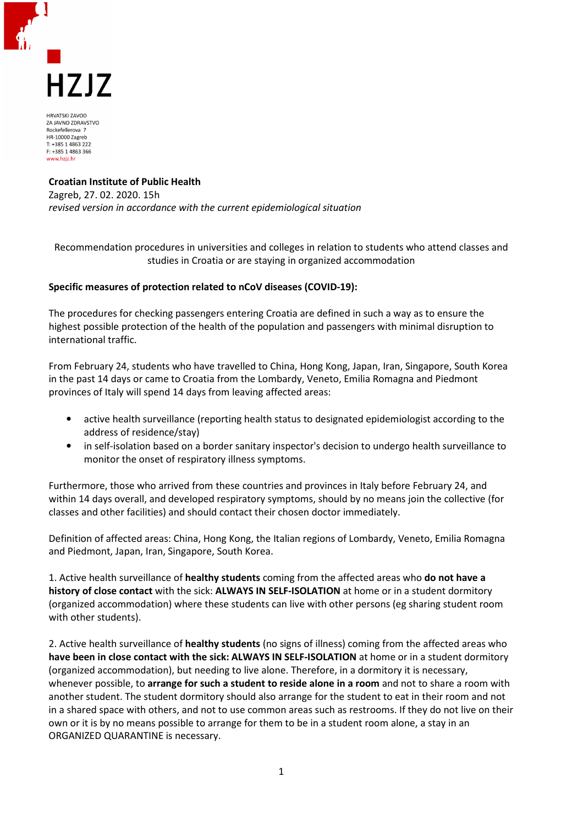

**HRVATSKI ZAVOD** ZA JAVNO ZDRAVSTVO Rockefellerova 7 HR-10000 Zagreb T: +385 1 4863 222 F: +385 1 4863 366 www.hziz.h

## **Croatian Institute of Public Health**

Zagreb, 27. 02. 2020. 15h *revised version in accordance with the current epidemiological situation* 

Recommendation procedures in universities and colleges in relation to students who attend classes and studies in Croatia or are staying in organized accommodation

## **Specific measures of protection related to nCoV diseases (COVID-19):**

The procedures for checking passengers entering Croatia are defined in such a way as to ensure the highest possible protection of the health of the population and passengers with minimal disruption to international traffic.

From February 24, students who have travelled to China, Hong Kong, Japan, Iran, Singapore, South Korea in the past 14 days or came to Croatia from the Lombardy, Veneto, Emilia Romagna and Piedmont provinces of Italy will spend 14 days from leaving affected areas:

- active health surveillance (reporting health status to designated epidemiologist according to the address of residence/stay)
- in self-isolation based on a border sanitary inspector's decision to undergo health surveillance to monitor the onset of respiratory illness symptoms.

Furthermore, those who arrived from these countries and provinces in Italy before February 24, and within 14 days overall, and developed respiratory symptoms, should by no means join the collective (for classes and other facilities) and should contact their chosen doctor immediately.

Definition of affected areas: China, Hong Kong, the Italian regions of Lombardy, Veneto, Emilia Romagna and Piedmont, Japan, Iran, Singapore, South Korea.

1. Active health surveillance of **healthy students** coming from the affected areas who **do not have a history of close contact** with the sick: **ALWAYS IN SELF-ISOLATION** at home or in a student dormitory (organized accommodation) where these students can live with other persons (eg sharing student room with other students).

2. Active health surveillance of **healthy students** (no signs of illness) coming from the affected areas who **have been in close contact with the sick: ALWAYS IN SELF-ISOLATION** at home or in a student dormitory (organized accommodation), but needing to live alone. Therefore, in a dormitory it is necessary, whenever possible, to **arrange for such a student to reside alone in a room** and not to share a room with another student. The student dormitory should also arrange for the student to eat in their room and not in a shared space with others, and not to use common areas such as restrooms. If they do not live on their own or it is by no means possible to arrange for them to be in a student room alone, a stay in an ORGANIZED QUARANTINE is necessary.